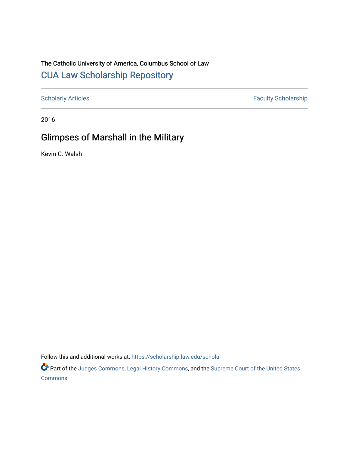## The Catholic University of America, Columbus School of Law [CUA Law Scholarship Repository](https://scholarship.law.edu/)

[Scholarly Articles](https://scholarship.law.edu/scholar) Faculty Scholarship

2016

## Glimpses of Marshall in the Military

Kevin C. Walsh

Follow this and additional works at: [https://scholarship.law.edu/scholar](https://scholarship.law.edu/scholar?utm_source=scholarship.law.edu%2Fscholar%2F1076&utm_medium=PDF&utm_campaign=PDFCoverPages)

Part of the [Judges Commons,](https://network.bepress.com/hgg/discipline/849?utm_source=scholarship.law.edu%2Fscholar%2F1076&utm_medium=PDF&utm_campaign=PDFCoverPages) [Legal History Commons](https://network.bepress.com/hgg/discipline/904?utm_source=scholarship.law.edu%2Fscholar%2F1076&utm_medium=PDF&utm_campaign=PDFCoverPages), and the [Supreme Court of the United States](https://network.bepress.com/hgg/discipline/1350?utm_source=scholarship.law.edu%2Fscholar%2F1076&utm_medium=PDF&utm_campaign=PDFCoverPages)  **[Commons](https://network.bepress.com/hgg/discipline/1350?utm_source=scholarship.law.edu%2Fscholar%2F1076&utm_medium=PDF&utm_campaign=PDFCoverPages)**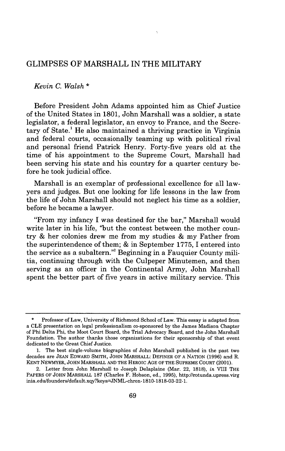## GLIMPSES OF MARSHALL IN THE MILITARY

## *Kevin C. Walsh* \*

Before President John Adams appointed him as Chief Justice of the United States in 1801, John Marshall was a soldier, a state legislator, a federal legislator, an envoy to France, and the Secretary of State.<sup>1</sup> He also maintained a thriving practice in Virginia and federal courts, occasionally teaming up with political rival and personal friend Patrick Henry. Forty-five years old at the time of his appointment to the Supreme Court, Marshall had been serving his state and his country for a quarter century before he took judicial office.

Marshall is an exemplar of professional excellence for all lawyers and judges. But one looking for life lessons in the law from the life of John Marshall should not neglect his time as a soldier, before he became a lawyer.

"From my infancy I was destined for the bar," Marshall would write later in his life, "but the contest between the mother country & her colonies drew me from my studies & my Father from the superintendence of them; & in September 1775, I entered into the service as a subaltern."' Beginning in a Fauquier County militia, continuing through with the Culpeper Minutemen, and then serving as an officer in the Continental Army, John Marshall spent the better part of five years in active military service. This

**<sup>\*</sup>** Professor of Law, University of Richmond School of Law. This essay is adapted from a CLE presentation on legal professionalism co-sponsored by the James Madison Chapter of Phi Delta Phi, the Moot Court Board, the Trial Advocacy Board, and the John Marshall Foundation. The author thanks those organizations for their sponsorship of that event dedicated to the Great Chief Justice.

<sup>1.</sup> The best single-volume biographies of John Marshall published in the past two decades are **JEAN** EDWARD SMITH, **JOHN** MARSHALL: DEFINER OF **A NATION** (1996) and R. **KENT** NEWMYER, **JOHN** MARSHALL **AND** THE HEROIc **AGE** OF THE **SUPREME** COURT (2001).

<sup>2.</sup> Letter from John Marshall to Joseph Delaplaine (Mar. 22, 1818), *in* VIII THE PAPERS OF **JOHN** MARSHALL 187 (Charles F. Hobson, ed., 1995), http://rotunda.upress.virg inia.edu/founders/default.xqy?keys=JNML-chron-1810-1818-03-22-1.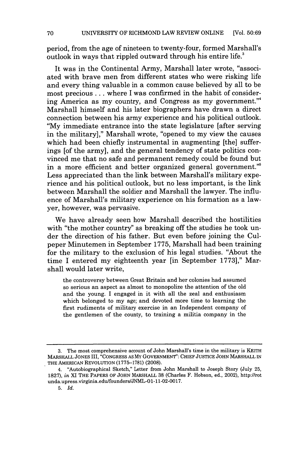period, from the age of nineteen to twenty-four, formed Marshall's outlook in ways that rippled outward through his entire life.'

It was in the Continental Army, Marshall later wrote, "associated with brave men from different states who were risking life and every thing valuable in a common cause believed by all to be most precious **...** where I was confirmed in the habit of considering America as my country, and Congress as my government."<sup>4</sup> Marshall himself and his later biographers have drawn a direct connection between his army experience and his political outlook. **"My** immediate entrance into the state legislature [after serving in the military]," Marshall wrote, "opened to my view the causes which had been chiefly instrumental in augmenting [the] sufferings [of the army], and the general tendency of state politics convinced me that no safe and permanent remedy could be found but in a more efficient and better organized general government." Less appreciated than the link between Marshall's military experience and his political outlook, but no less important, is the link between Marshall the soldier and Marshall the lawyer. The influence of Marshall's military experience on his formation as a lawyer, however, was pervasive.

We have already seen how Marshall described the hostilities with "the mother country" as breaking off the studies he took under the direction of his father. But even before joining the Culpeper Minutemen in September 1775, Marshall had been training for the military to the exclusion of his legal studies. "About the time I entered my eighteenth year [in September 1773]," Marshall would later write,

the controversy between Great Britain and her colonies had assumed so serious an aspect as almost to monopolize the attention of the old and the young. I engaged in it with all the zeal and enthusiasm which belonged to my age; and devoted more time to learning the first rudiments of military exercise in an Independent company of the gentlemen of the county, to training a militia company in the

<sup>3.</sup> The most comprehensive account of John Marshall's time in the military is KEITH MARSHALL **JONES** III, **"CONGRESS AS** MY GOVERNMENT": CHIEF JUSTICE JOHN MARSHALL IN THE AMERICAN REVOLUTION **(1775-1781)** (2008).

<sup>4. &</sup>quot;Autobiographical Sketch," Letter from John Marshall to Joseph Story (July 25, 1827), *in* XI THE PAPERS OF JOHN MARSHALL 38 (Charles F. Hobson, ed., 2002), http://rot unda.upress.virginia.edu/founders/JNML-01-11-02-0017.

<sup>5.</sup> *Id.*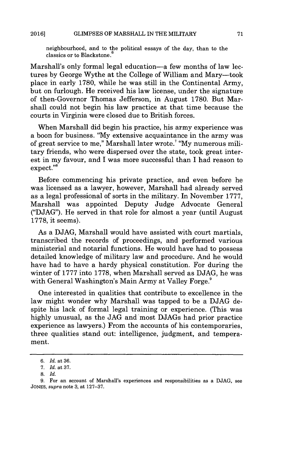neighbourhood, and to the political essays of the day, than to the classics or to Blackstone.<sup>5</sup>

Marshall's only formal legal education—a few months of law lectures by George Wythe at the College of William and Mary-took place in early 1780, while he was still in the Continental Army, but on furlough. He received his law license, under the signature of then-Governor Thomas Jefferson, in August 1780. But Marshall could not begin his law practice at that time because the courts in Virginia were closed due to British forces.

When Marshall did begin his practice, his army experience was a boon for business. **'My** extensive acquaintance in the army was of great service to me," Marshall later wrote.' "My numerous military friends, who were dispersed over the state, took great interest in my favour, and I was more successful than I had reason to expect."<sup>8</sup>

Before commencing his private practice, and even before he was licensed as a lawyer, however, Marshall had already served as a legal professional of sorts in the military. In November 1777, Marshall was appointed Deputy Judge Advocate General ("DJAG"). He served in that role for almost a year (until August 1778, it seems).

As a DJAG, Marshall would have assisted with court martials, transcribed the records of proceedings, and performed various ministerial and notarial functions. He would have had to possess detailed knowledge of military law and procedure. And he would have had to have a hardy physical constitution. For during the winter of 1777 into 1778, when Marshall served as DJAG, he was with General Washington's Main Army at Valley Forge.<sup>9</sup>

One interested in qualities that contribute to excellence in the law might wonder why Marshall was tapped to be a DJAG despite his lack of formal legal training or experience. (This was highly unusual, as the JAG and most DJAGs had prior practice experience as lawyers.) From the accounts of his contemporaries, three qualities stand out: intelligence, judgment, and temperament.

*<sup>6.</sup> Id.* at 36.

*<sup>7.</sup> Id.* at 37.

<sup>8.</sup> *Id.*

<sup>9.</sup> For an account of Marshall's experiences and responsibilities as a DJAG, see **JONES,** *supra* note 3, at 127-37.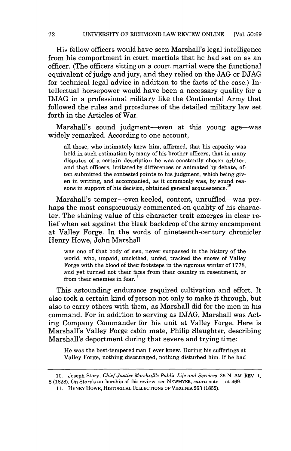His fellow officers would have seen Marshall's legal intelligence from his comportment in court martials that he had sat on as an officer. (The officers sitting on a court martial were the functional equivalent of judge and jury, and they relied on the JAG or DJAG for technical legal advice in addition to the facts of the case.) Intellectual horsepower would have been a necessary quality for a DJAG in a professional military like the Continental Army that followed the rules and procedures of the detailed military law set forth in the Articles of War.

Marshall's sound judgment-even at this young age-was widely remarked. According to one account,

all those, who intimately knew him, affirmed, that his capacity was held in such estimation by many of his brother officers, that in many disputes of a certain description he was constantly chosen arbiter; and that officers, irritated by differences or animated by debate, often submitted the contested points to his judgment, which being given in writing, and accompanied, as it commonly was, by sound reasons in support of his decision, obtained general acquiescence.

Marshall's temper--even-keeled, content, unruffled--was perhaps the most conspicuously commented-on quality of his character. The shining value of this character trait emerges in clear relief when set against the bleak backdrop of the army encampment at Valley Forge. In the words of nineteenth-century chronicler Henry Howe, John Marshall

was one of that body of men, never surpassed in the history of the world, who, unpaid, unclothed, unfed, tracked the snows of Valley Forge with the blood of their footsteps in the rigorous winter of 1778, and yet turned not their faces from their country in resentment, or from their enemies in fear."

This astounding endurance required cultivation and effort. It also took a certain kind of person not only to make it through, but also to carry others with them, as Marshall did for the men in his command. For in addition to serving as DJAG, Marshall was Acting Company Commander for his unit at Valley Forge. Here is Marshall's Valley Forge cabin mate, Philip Slaughter, describing Marshall's deportment during that severe and trying time:

He was the best-tempered man I ever knew. During his sufferings at Valley Forge, nothing discouraged, nothing disturbed him. If he had

<sup>10.</sup> Joseph Story, Chief *Justice Marshall's Public Life and Services,* 26 N. AM. REV. 1, **8** (1828). On Story's authorship of this review, see NEWMYER, *supra* note 1, at 469.

<sup>11.</sup> HENRY HOWE, HISTORICAL COLLECTIONS OF VIRGINIA 263 (1852).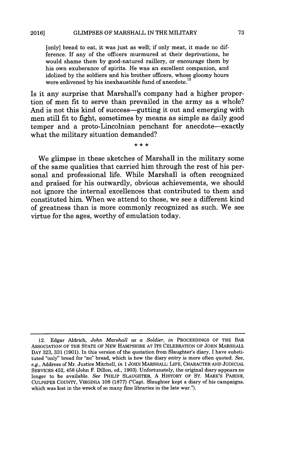[only] bread to eat, it was just as well; if only meat, it made no difference. If any of the officers murmured at their deprivations, he would shame them by good-natured raillery, or encourage them by his own exuberance of spirits. He was an excellent companion, and idolized by the soldiers and his brother officers, whose gloomy hours were enlivened by his inexhaustible fund of anecdote.<sup>12</sup>

Is it any surprise that Marshall's company had a higher proportion of men fit to serve than prevailed in the army as a whole? And is not this kind of success-gutting it out and emerging with men still fit to fight, sometimes by means as simple as daily good temper and a proto-Lincolnian penchant for anecdote-exactly what the military situation demanded?

 $* * *$ 

We glimpse in these sketches of Marshall in the military some of the same qualities that carried him through the rest of his personal and professional life. While Marshall is often recognized and praised for his outwardly, obvious achievements, we should not ignore the internal excellences that contributed to them and constituted him. When we attend to those, we see a different kind of greatness than is more commonly recognized as such. We see virtue for the ages, worthy of emulation today.

<sup>12.</sup> Edgar Aldrich, *John Marshall as a Soldier, in* **PROCEEDINGS** OF THE BAR **ASSOCIATION** OF THE **STATE** OF NEW HAMPSHIRE **AT** ITS CELEBRATION OF **JOHN** MARSHALL DAY **323, 331 (1901).** In this version of the quotation from Slaughter's diary, I have substituted "only" bread for "no" bread, which is how the diary entry is more often quoted. *See, e.g.,* Address of Mr. Justice Mitchell, *in* 1 JOHN MARSHALL: LIFE, CHARACTER AND JUDICIAL SERVICES 452, 458 (John F. Dillon, ed., 1903). Unfortunately, the original diary appears no longer to be available. *See* PHILIP SLAUGHTER, A HISTORY OF ST. MARK'S PARISH, **CULPEPER COUNTY,** VIRGINIA **108** (1877) ("Capt. Slaughter kept a diary of his campaigns, which was lost in the wreck of so many fine libraries in the late war.").